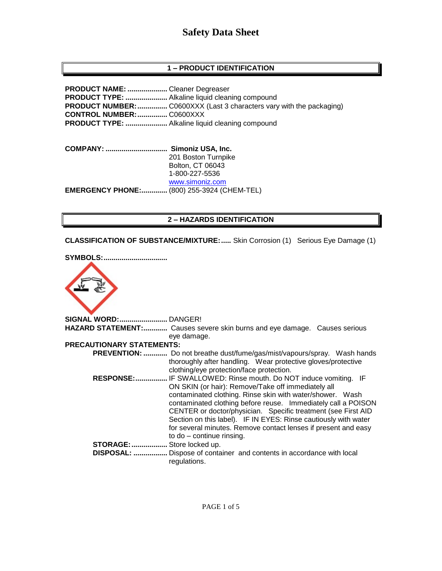# **Safety Data Sheet**

# **1 – PRODUCT IDENTIFICATION**

**PRODUCT NAME: ....................** Cleaner Degreaser **PRODUCT TYPE: .....................** Alkaline liquid cleaning compound **PRODUCT NUMBER:**................. C0600XXX (Last 3 characters vary with the packaging) **CONTROL NUMBER:...............** C0600XXX **PRODUCT TYPE: .....................** Alkaline liquid cleaning compound

**COMPANY: ............................... Simoniz USA, Inc.** 201 Boston Turnpike Bolton, CT 06043 1-800-227-5536 [www.simoniz.com](http://www.simoniz.com/) **EMERGENCY PHONE:.............** (800) 255-3924 (CHEM-TEL)

# **2 – HAZARDS IDENTIFICATION**

**CLASSIFICATION OF SUBSTANCE/MIXTURE:.....** Skin Corrosion (1) Serious Eye Damage (1)



| <b>SIGNAL WORD: DANGER!</b> |                                                                            |
|-----------------------------|----------------------------------------------------------------------------|
|                             | HAZARD STATEMENT: Causes severe skin burns and eye damage. Causes serious  |
|                             | eye damage.                                                                |
| PRECAUTIONARY STATEMENTS:   |                                                                            |
| <b>PREVENTION: </b>         | Do not breathe dust/fume/gas/mist/vapours/spray. Wash hands                |
|                             | thoroughly after handling. Wear protective gloves/protective               |
|                             | clothing/eye protection/face protection.                                   |
| RESPONSE:                   | IF SWALLOWED: Rinse mouth. Do NOT induce vomiting. IF                      |
|                             | ON SKIN (or hair): Remove/Take off immediately all                         |
|                             | contaminated clothing. Rinse skin with water/shower. Wash                  |
|                             | contaminated clothing before reuse. Immediately call a POISON              |
|                             | CENTER or doctor/physician. Specific treatment (see First AID              |
|                             | Section on this label). IF IN EYES: Rinse cautiously with water            |
|                             | for several minutes. Remove contact lenses if present and easy             |
|                             | to $do$ – continue rinsing.                                                |
| <b>STORAGE: </b>            | Store locked up.                                                           |
| <b>DISPOSAL: </b>           | Dispose of container and contents in accordance with local<br>regulations. |
|                             |                                                                            |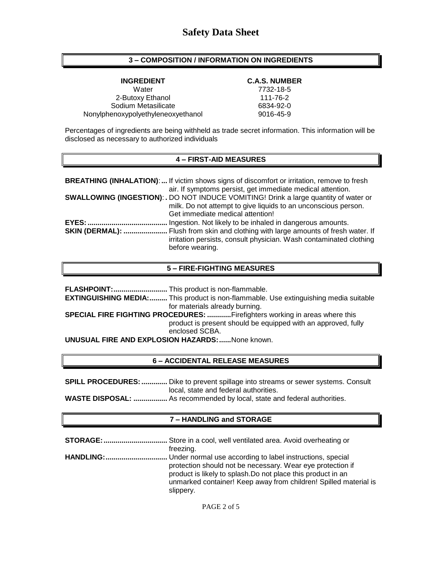# **3 – COMPOSITION / INFORMATION ON INGREDIENTS**

**INGREDIENT C.A.S. NUMBER**

Water 7732-18-5 2-Butoxy Ethanol 111-76-2 Sodium Metasilicate 6834-92-0 Nonylphenoxypolyethyleneoxyethanol 9016-45-9

Percentages of ingredients are being withheld as trade secret information. This information will be disclosed as necessary to authorized individuals

#### **4 – FIRST-AID MEASURES**

|                        | <b>BREATHING (INHALATION):</b> If victim shows signs of discomfort or irritation, remove to fresh |
|------------------------|---------------------------------------------------------------------------------------------------|
|                        | air. If symptoms persist, get immediate medical attention.                                        |
|                        | <b>SWALLOWING (INGESTION): . DO NOT INDUCE VOMITING! Drink a large quantity of water or</b>       |
|                        | milk. Do not attempt to give liquids to an unconscious person.                                    |
|                        | Get immediate medical attention!                                                                  |
| <b>EYES: </b>          | Ingestion. Not likely to be inhaled in dangerous amounts.                                         |
| <b>SKIN (DERMAL): </b> | . Flush from skin and clothing with large amounts of fresh water. If                              |
|                        | irritation persists, consult physician. Wash contaminated clothing                                |
|                        | before wearing.                                                                                   |

#### **5 – FIRE-FIGHTING MEASURES**

**FLASHPOINT:...........................** This product is non-flammable. **EXTINGUISHING MEDIA:.........** This product is non-flammable. Use extinguishing media suitable for materials already burning. **SPECIAL FIRE FIGHTING PROCEDURES: ............**Firefighters working in areas where this product is present should be equipped with an approved, fully enclosed SCBA. **UNUSUAL FIRE AND EXPLOSION HAZARDS:......**None known.

# **6 – ACCIDENTAL RELEASE MEASURES**

**SPILL PROCEDURES:.............** Dike to prevent spillage into streams or sewer systems. Consult local, state and federal authorities.

**WASTE DISPOSAL: .................** As recommended by local, state and federal authorities.

# **7 – HANDLING and STORAGE**

**STORAGE:................................** Store in a cool, well ventilated area. Avoid overheating or freezing. **HANDLING:...............................** Under normal use according to label instructions, special protection should not be necessary. Wear eye protection if product is likely to splash.Do not place this product in an unmarked container! Keep away from children! Spilled material is slippery.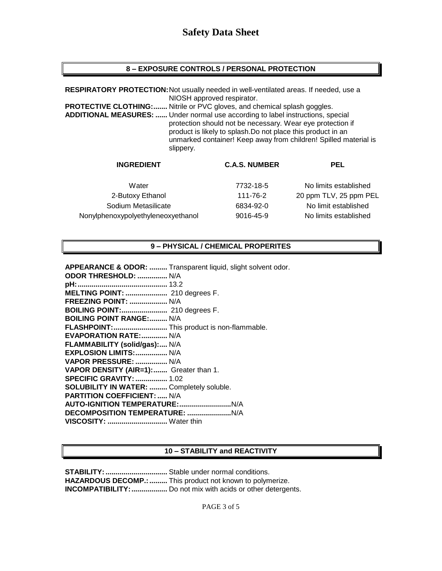# **8 – EXPOSURE CONTROLS / PERSONAL PROTECTION**

**RESPIRATORY PROTECTION:**Not usually needed in well-ventilated areas. If needed, use a NIOSH approved respirator. **PROTECTIVE CLOTHING:.......** Nitrile or PVC gloves, and chemical splash goggles. **ADDITIONAL MEASURES: ......** Under normal use according to label instructions, special protection should not be necessary. Wear eye protection if product is likely to splash.Do not place this product in an unmarked container! Keep away from children! Spilled material is slippery. **INGREDIENT C.A.S. NUMBER PEL**

|           | PEL                    |
|-----------|------------------------|
| 7732-18-5 | No limits established  |
| 111-76-2  | 20 ppm TLV, 25 ppm PEL |
| 6834-92-0 | No limit established   |
| 9016-45-9 | No limits established  |
|           | <b>C.A.S. NUMBER</b>   |

# **9 – PHYSICAL / CHEMICAL PROPERITES**

**APPEARANCE & ODOR: .........** Transparent liquid, slight solvent odor.

| ODOR THRESHOLD:  N/A                       |  |
|--------------------------------------------|--|
|                                            |  |
| <b>MELTING POINT: </b> 210 degrees F.      |  |
| <b>FREEZING POINT:  N/A</b>                |  |
| BOILING POINT: 210 degrees F.              |  |
| <b>BOILING POINT RANGE: N/A</b>            |  |
| FLASHPOINT: This product is non-flammable. |  |
| EVAPORATION RATE: N/A                      |  |
| FLAMMABILITY (solid/gas): N/A              |  |
| EXPLOSION LIMITS:  N/A                     |  |
| VAPOR PRESSURE:  N/A                       |  |
| VAPOR DENSITY (AIR=1): Greater than 1.     |  |
| <b>SPECIFIC GRAVITY:  1.02</b>             |  |
| SOLUBILITY IN WATER:  Completely soluble.  |  |
| <b>PARTITION COEFFICIENT:  N/A</b>         |  |
|                                            |  |
|                                            |  |
| VISCOSITY:  Water thin                     |  |
|                                            |  |

# **10 – STABILITY and REACTIVITY**

**STABILITY:...............................** Stable under normal conditions. **HAZARDOUS DECOMP.:.........** This product not known to polymerize. **INCOMPATIBILITY:**.................... Do not mix with acids or other detergents.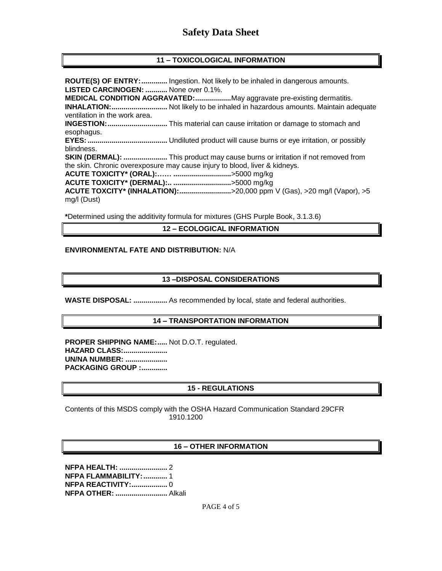# **Safety Data Sheet**

# **11 – TOXICOLOGICAL INFORMATION**

**ROUTE(S) OF ENTRY:.............** Ingestion. Not likely to be inhaled in dangerous amounts. **LISTED CARCINOGEN: ...........** None over 0.1%. **MEDICAL CONDITION AGGRAVATED:..................**May aggravate pre-existing dermatitis. **INHALATION:............................** Not likely to be inhaled in hazardous amounts. Maintain adequate ventilation in the work area. **INGESTION:..............................** This material can cause irritation or damage to stomach and esophagus. **EYES:........................................** Undiluted product will cause burns or eye irritation, or possibly blindness. **SKIN (DERMAL): ......................** This product may cause burns or irritation if not removed from the skin. Chronic overexposure may cause injury to blood, liver & kidneys. **ACUTE TOXICITY\* (ORAL):…… .............................**>5000 mg/kg **ACUTE TOXICITY\* (DERMAL):.. .............................**>5000 mg/kg **ACUTE TOXCITY\* (INHALATION):..........................**>20,000 ppm V (Gas), >20 mg/l (Vapor), >5 mg/l (Dust)

**\***Determined using the additivity formula for mixtures (GHS Purple Book, 3.1.3.6)

#### **12 – ECOLOGICAL INFORMATION**

#### **ENVIRONMENTAL FATE AND DISTRIBUTION:** N/A

#### **13 –DISPOSAL CONSIDERATIONS**

**WASTE DISPOSAL: .................** As recommended by local, state and federal authorities.

#### **14 – TRANSPORTATION INFORMATION**

**PROPER SHIPPING NAME:.....** Not D.O.T. regulated. **HAZARD CLASS:...................... UN/NA NUMBER: ..................... PACKAGING GROUP :.............**

# **15 - REGULATIONS**

Contents of this MSDS comply with the OSHA Hazard Communication Standard 29CFR 1910.1200

#### **16 – OTHER INFORMATION**

**NFPA HEALTH: ........................** 2 **NFPA FLAMMABILITY:............** 1 **NFPA REACTIVITY:..................** 0 **NFPA OTHER: ..........................** Alkali